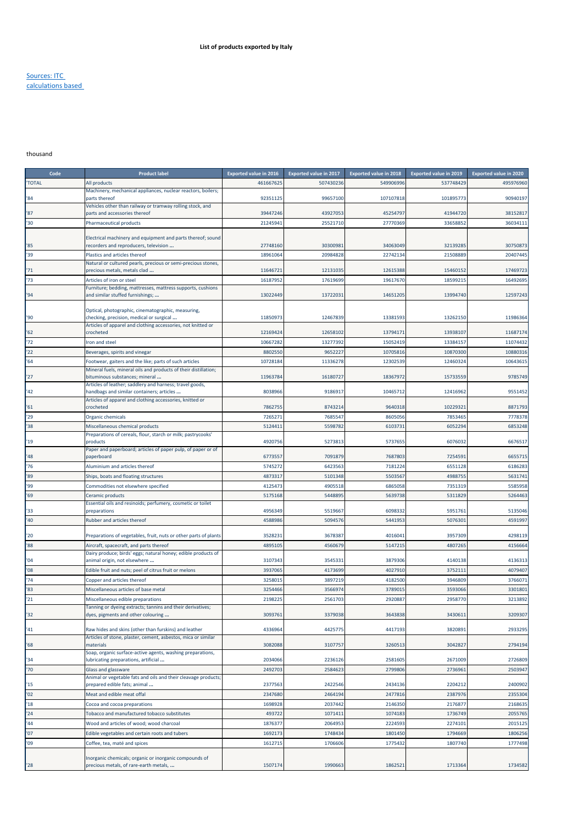## Sources: ITC calculations based

## thousand

| Code         | <b>Product label</b>                                                                                 | <b>Exported value in 2016</b> | <b>Exported value in 2017</b> | <b>Exported value in 2018</b> | Exported value in 2019 | <b>Exported value in 2020</b> |
|--------------|------------------------------------------------------------------------------------------------------|-------------------------------|-------------------------------|-------------------------------|------------------------|-------------------------------|
| <b>TOTAL</b> | All products                                                                                         | 461667625                     | 507430236                     | 549906996                     | 537748429              | 495976960                     |
|              | Machinery, mechanical appliances, nuclear reactors, boilers;                                         |                               |                               |                               |                        |                               |
| '84          | parts thereof<br>Vehicles other than railway or tramway rolling stock, and                           | 92351125                      | 99657100                      | 107107818                     | 101895773              | 90940197                      |
| '87          | parts and accessories thereof                                                                        | 39447246                      | 43927053                      | 45254797                      | 41944720               | 38152817                      |
| '30          | Pharmaceutical products                                                                              | 21245941                      | 25521710                      | 27770369                      | 33658852               | 36034111                      |
|              |                                                                                                      |                               |                               |                               |                        |                               |
| '85          | Electrical machinery and equipment and parts thereof; sound<br>recorders and reproducers, television | 27748160                      | 30300981                      | 34063049                      | 32139285               | 30750873                      |
| '39          | Plastics and articles thereof                                                                        | 18961064                      | 20984828                      | 22742134                      | 21508889               | 20407445                      |
|              | Natural or cultured pearls, precious or semi-precious stones,                                        |                               |                               |                               |                        |                               |
| '71          | precious metals, metals clad                                                                         | 11646721                      | 12131035                      | 12615388                      | 15460152               | 17469723                      |
| '73          | Articles of iron or steel                                                                            | 16187952                      | 17619699                      | 19617670                      | 18599215               | 16492695                      |
| '94          | Furniture; bedding, mattresses, mattress supports, cushions<br>and similar stuffed furnishings;      | 13022449                      | 13722031                      | 14651205                      | 13994740               | 12597243                      |
|              |                                                                                                      |                               |                               |                               |                        |                               |
| '90          | Optical, photographic, cinematographic, measuring,<br>checking, precision, medical or surgical       | 11850973                      | 12467839                      | 13381593                      | 13262150               | 11986364                      |
|              | Articles of apparel and clothing accessories, not knitted or                                         |                               |                               |                               |                        |                               |
| '62          | crocheted                                                                                            | 12169424                      | 12658102                      | 13794171                      | 13938107               | 11687174                      |
| '72          | Iron and steel                                                                                       | 10667282                      | 13277392                      | 15052419                      | 13384157               | 11074432                      |
| 22           | Beverages, spirits and vinegar                                                                       | 8802550                       | 9652227                       | 10705816                      | 10870300               | 10880316                      |
| 64           | Footwear, gaiters and the like; parts of such articles                                               | 10728184                      | 11336278                      | 12302539                      | 12460324               | 10643615                      |
| '27          | Mineral fuels, mineral oils and products of their distillation;<br>bituminous substances; mineral    | 11963784                      | 16180727                      | 18367972                      | 15733559               | 9785749                       |
|              | Articles of leather; saddlery and harness; travel goods,                                             |                               |                               |                               |                        |                               |
| '42          | handbags and similar containers; articles                                                            | 8038966                       | 9186917                       | 10465712                      | 12416962               | 9551452                       |
| '61          | Articles of apparel and clothing accessories, knitted or<br>crocheted                                | 7862755                       | 8743214                       | 9640318                       | 10229321               | 8871793                       |
| 29           | Organic chemicals                                                                                    | 7265271                       | 7685547                       | 8605056                       | 7853465                | 7778378                       |
| '38          | Miscellaneous chemical products                                                                      | 5124411                       | 5598782                       | 6103731                       | 6052294                | 6853248                       |
|              | Preparations of cereals, flour, starch or milk; pastrycooks'                                         |                               |                               |                               |                        |                               |
| '19          | products                                                                                             | 4920756                       | 5273813                       | 5737655                       | 6076032                | 6676517                       |
| '48          | Paper and paperboard; articles of paper pulp, of paper or of<br>paperboard                           | 6773557                       | 7091879                       | 7687803                       | 7254591                | 6655715                       |
| 76           | Aluminium and articles thereof                                                                       | 5745272                       | 6423563                       | 7181224                       | 6551128                | 6186283                       |
| '89          | Ships, boats and floating structures                                                                 | 4873317                       | 5101348                       | 5503567                       | 4988755                | 5631741                       |
| '99          | Commodities not elsewhere specified                                                                  | 4125473                       | 4905518                       | 6865058                       | 7351319                | 5585958                       |
| '69          | Ceramic products                                                                                     | 5175168                       | 544889                        | 5639738                       | 5311829                | 5264463                       |
|              | Essential oils and resinoids; perfumery, cosmetic or toilet                                          |                               |                               |                               |                        |                               |
| '33          | preparations                                                                                         | 4956349                       | 5519667                       | 6098332                       | 5951761                | 5135046                       |
| '40          | Rubber and articles thereof                                                                          | 4588986                       | 5094576                       | 5441953                       | 5076301                | 4591997                       |
| '20          | Preparations of vegetables, fruit, nuts or other parts of plants                                     | 3528231                       | 3678387                       | 4016041                       | 3957309                | 4298119                       |
| '88          | Aircraft, spacecraft, and parts thereof                                                              | 4895105                       | 4560679                       | 5147215                       | 4807265                | 4156664                       |
|              | Dairy produce; birds' eggs; natural honey; edible products of                                        |                               |                               |                               |                        |                               |
| '04<br>08    | animal origin, not elsewhere<br>Edible fruit and nuts; peel of citrus fruit or melons                | 3107343<br>3937065            | 3545331<br>4173699            | 3879306<br>4027910            | 4140138<br>375211:     | 4136313<br>4079407            |
| 74           | Copper and articles thereof                                                                          | 3258015                       | 3897219                       | 4182500                       | 3946809                | 3766071                       |
| '83          | Miscellaneous articles of base metal                                                                 | 3254466                       | 3566974                       | 3789015                       | 3593066                | 3301801                       |
| 21           | Miscellaneous edible preparations                                                                    | 2198225                       | 2561703                       | 2920887                       | 2958770                | 3213892                       |
|              | anning or dyeing extracts; tannins and their derivatives;                                            |                               |                               |                               |                        |                               |
| 32           | dyes, pigments and other colouring                                                                   | 3093761                       | 3379038                       | 3643838                       | 3430611                | 3209307                       |
| '41          | Raw hides and skins (other than furskins) and leather                                                | 4336964                       | 442577                        | 4417193                       | 3820891                | 2933295                       |
|              | Articles of stone, plaster, cement, asbestos, mica or similar                                        |                               |                               |                               |                        |                               |
| '68          | materials                                                                                            | 3082088                       | 3107757                       | 3260513                       | 3042827                | 2794194                       |
| '34          | Soap, organic surface-active agents, washing preparations,<br>lubricating preparations, artificial   | 2034066                       | 2236126                       | 2581605                       | 2671009                | 2726809                       |
| '70          | Glass and glassware                                                                                  | 2492703                       | 258462                        | 2799806                       | 2736961                | 2503947                       |
|              | Animal or vegetable fats and oils and their cleavage products;                                       |                               |                               |                               |                        |                               |
| '15          | prepared edible fats; animal                                                                         | 2377563                       | 2422546                       | 2434136                       | 2204212                | 2400902                       |
| '02          | Meat and edible meat offal                                                                           | 2347680                       | 2464194                       | 2477816                       | 2387976                | 2355304                       |
| '18          | Cocoa and cocoa preparations                                                                         | 1698928                       | 2037442                       | 2146350                       | 2176877                | 2168635                       |
| '24'         | Tobacco and manufactured tobacco substitutes                                                         | 493722                        | 1071411                       | 1074183                       | 1736749                | 2055765                       |
| '44          | Wood and articles of wood; wood charcoal                                                             | 1876377                       | 2064953                       | 2224593                       | 2274101                | 2015125                       |
| '07          | Edible vegetables and certain roots and tubers                                                       | 1692173                       | 1748434                       | 1801450                       | 1794669                | 1806256                       |
| '09          | Coffee, tea, maté and spices                                                                         | 1612715                       | 1706606                       | 1775432                       | 1807740                | 1777498                       |
|              | Inorganic chemicals; organic or inorganic compounds of                                               |                               |                               |                               |                        |                               |
| '28          | precious metals, of rare-earth metals,                                                               | 1507174                       | 1990663                       | 1862521                       | 1713364                | 1734582                       |